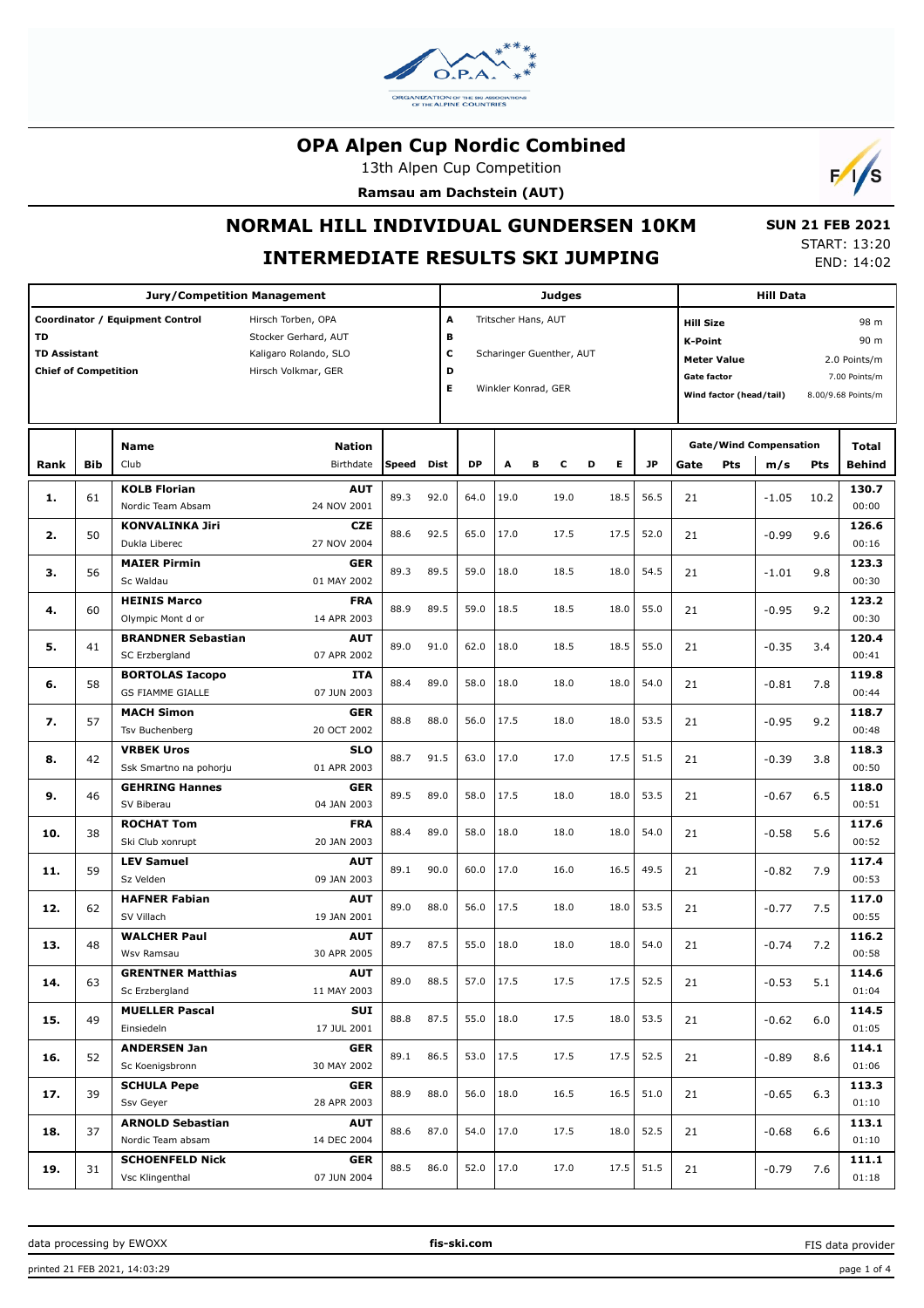

13th Alpen Cup Competition

**Ramsau am Dachstein (AUT)**



# **NORMAL HILL INDIVIDUAL GUNDERSEN 10KM**

## **INTERMEDIATE RESULTS SKI JUMPING**

 **SUN 21 FEB 2021** START: 13:20 END: 14:02

|                             |            | <b>Jury/Competition Management</b> |                            |       |             |                               |      |                     | Judges |        |                          |                    |                                    | <b>Hill Data</b> |              |                    |  |
|-----------------------------|------------|------------------------------------|----------------------------|-------|-------------|-------------------------------|------|---------------------|--------|--------|--------------------------|--------------------|------------------------------------|------------------|--------------|--------------------|--|
|                             |            | Coordinator / Equipment Control    | Hirsch Torben, OPA         |       | А           |                               |      | Tritscher Hans, AUT |        |        | <b>Hill Size</b><br>98 m |                    |                                    |                  |              |                    |  |
| <b>TD</b>                   |            |                                    | Stocker Gerhard, AUT       |       | в           |                               |      |                     |        |        |                          |                    | <b>K-Point</b><br>90 m             |                  |              |                    |  |
| <b>TD Assistant</b>         |            |                                    | Kaligaro Rolando, SLO      |       |             | с<br>Scharinger Guenther, AUT |      |                     |        |        |                          |                    | <b>Meter Value</b><br>2.0 Points/m |                  |              |                    |  |
| <b>Chief of Competition</b> |            |                                    | Hirsch Volkmar, GER        |       | D           |                               |      |                     |        |        |                          | <b>Gate factor</b> |                                    |                  |              | 7.00 Points/m      |  |
|                             |            |                                    |                            |       | E.          |                               |      | Winkler Konrad, GER |        |        |                          |                    | Wind factor (head/tail)            |                  |              | 8.00/9.68 Points/m |  |
|                             |            |                                    |                            |       |             |                               |      |                     |        |        |                          |                    |                                    |                  |              |                    |  |
|                             |            | <b>Name</b>                        |                            |       |             |                               |      |                     |        |        |                          |                    | <b>Gate/Wind Compensation</b>      |                  | <b>Total</b> |                    |  |
| Rank                        | <b>Bib</b> | Club                               | <b>Nation</b><br>Birthdate | Speed | <b>Dist</b> | <b>DP</b>                     | A    | в                   | c      | Е<br>D | <b>JP</b>                | Gate               | Pts                                | m/s              | Pts          | <b>Behind</b>      |  |
| 1.                          | 61         | <b>KOLB Florian</b>                | <b>AUT</b>                 | 89.3  | 92.0        | 64.0                          | 19.0 |                     | 19.0   | 18.5   | 56.5                     | 21                 |                                    | $-1.05$          | 10.2         | 130.7              |  |
|                             |            | Nordic Team Absam                  | 24 NOV 2001                |       |             |                               |      |                     |        |        |                          |                    |                                    |                  |              | 00:00              |  |
| 2.                          | 50         | <b>KONVALINKA Jiri</b>             | <b>CZE</b>                 | 88.6  | 92.5        | 65.0                          | 17.0 |                     | 17.5   | 17.5   | 52.0                     | 21                 |                                    | $-0.99$          | 9.6          | 126.6              |  |
|                             |            | Dukla Liberec                      | 27 NOV 2004                |       |             |                               |      |                     |        |        |                          |                    |                                    |                  |              | 00:16              |  |
| 3.                          | 56         | <b>MAIER Pirmin</b>                | <b>GER</b>                 | 89.3  | 89.5        | 59.0                          | 18.0 |                     | 18.5   | 18.0   | 54.5                     | 21                 |                                    | $-1.01$          | 9.8          | 123.3              |  |
|                             |            | Sc Waldau                          | 01 MAY 2002                |       |             |                               |      |                     |        |        |                          |                    |                                    |                  |              | 00:30              |  |
| 4.                          | 60         | <b>HEINIS Marco</b>                | <b>FRA</b>                 | 88.9  | 89.5        | 59.0                          | 18.5 |                     | 18.5   | 18.0   | 55.0                     | 21                 |                                    | $-0.95$          | 9.2          | 123.2              |  |
|                             |            | Olympic Mont d or                  | 14 APR 2003                |       |             |                               |      |                     |        |        |                          |                    |                                    |                  |              | 00:30              |  |
|                             |            | <b>BRANDNER Sebastian</b>          | <b>AUT</b>                 |       |             |                               | 18.0 |                     |        |        |                          |                    |                                    |                  |              | 120.4              |  |
| 5.                          | 41         | SC Erzbergland                     | 07 APR 2002                | 89.0  | 91.0        | 62.0                          |      |                     | 18.5   | 18.5   | 55.0                     | 21                 |                                    | $-0.35$          | 3.4          | 00:41              |  |
|                             |            | <b>BORTOLAS Iacopo</b>             | <b>ITA</b>                 |       |             |                               |      |                     |        |        |                          |                    |                                    |                  |              | 119.8              |  |
| 6.                          | 58         | <b>GS FIAMME GIALLE</b>            | 07 JUN 2003                | 88.4  | 89.0        | 58.0                          | 18.0 |                     | 18.0   | 18.0   | 54.0                     | 21                 |                                    | $-0.81$          | 7.8          | 00:44              |  |
|                             |            | <b>MACH Simon</b>                  | <b>GER</b>                 |       |             |                               |      |                     |        |        |                          |                    |                                    |                  |              | 118.7              |  |
| 7.                          | 57         | Tsv Buchenberg                     | 20 OCT 2002                | 88.8  | 88.0        | 56.0                          | 17.5 |                     | 18.0   | 18.0   | 53.5                     | 21                 |                                    | $-0.95$          | 9.2          | 00:48              |  |
|                             |            | <b>VRBEK Uros</b>                  | <b>SLO</b>                 |       |             |                               |      |                     |        |        |                          |                    |                                    |                  |              | 118.3              |  |
| 8.                          | 42         | Ssk Smartno na pohorju             | 01 APR 2003                | 88.7  | 91.5        | 63.0                          | 17.0 |                     | 17.0   | 17.5   | 51.5                     | 21                 |                                    | $-0.39$          | 3.8          | 00:50              |  |
|                             |            | <b>GEHRING Hannes</b>              | <b>GER</b>                 |       |             |                               |      |                     |        |        |                          |                    |                                    |                  |              | 118.0              |  |
| 9.                          | 46         | SV Biberau                         | 04 JAN 2003                | 89.5  | 89.0        | 58.0                          | 17.5 |                     | 18.0   | 18.0   | 53.5                     | 21                 |                                    | $-0.67$          | 6.5          | 00:51              |  |
|                             |            | <b>ROCHAT Tom</b>                  | <b>FRA</b>                 |       |             |                               |      |                     |        |        |                          |                    |                                    |                  |              | 117.6              |  |
| 10.                         | 38         | Ski Club xonrupt                   | 20 JAN 2003                | 88.4  | 89.0        | 58.0                          | 18.0 |                     | 18.0   | 18.0   | 54.0                     | 21                 |                                    | $-0.58$          | 5.6          | 00:52              |  |
|                             |            | <b>LEV Samuel</b>                  | <b>AUT</b>                 |       |             |                               |      |                     |        |        |                          |                    |                                    |                  |              | 117.4              |  |
| 11.                         | 59         | Sz Velden                          | 09 JAN 2003                | 89.1  | 90.0        | 60.0                          | 17.0 |                     | 16.0   | 16.5   | 49.5                     | 21                 |                                    | $-0.82$          | 7.9          | 00:53              |  |
|                             |            | <b>HAFNER Fabian</b>               | <b>AUT</b>                 |       |             |                               |      |                     |        |        |                          |                    |                                    |                  |              | 117.0              |  |
| 12.                         | 62         | SV Villach                         | 19 JAN 2001                | 89.0  | 88.0        | 56.0                          | 17.5 |                     | 18.0   | 18.0   | 53.5                     | 21                 |                                    | $-0.77$          | 7.5          | 00:55              |  |
|                             |            | <b>WALCHER Paul</b>                | <b>AUT</b>                 |       |             |                               |      |                     |        |        |                          |                    |                                    |                  |              | 116.2              |  |
| 13.                         | 48         | Wsv Ramsau                         | 30 APR 2005                | 89.7  | 87.5        | 55.0                          | 18.0 |                     | 18.0   | 18.0   | 54.0                     | 21                 |                                    | $-0.74$          | 7.2          | 00:58              |  |
|                             |            | <b>GRENTNER Matthias</b>           | <b>AUT</b>                 |       |             |                               |      |                     |        |        |                          |                    |                                    |                  |              | 114.6              |  |
| 14.                         | 63         | Sc Erzbergland                     | 11 MAY 2003                | 89.0  | 88.5        | 57.0                          | 17.5 |                     | 17.5   | 17.5   | 52.5                     | 21                 |                                    | $-0.53$          | 5.1          | 01:04              |  |
|                             |            | <b>MUELLER Pascal</b>              | SUI                        |       |             |                               |      |                     |        |        |                          |                    |                                    |                  |              | 114.5              |  |
| 15.                         | 49         | Einsiedeln                         | 17 JUL 2001                | 88.8  | 87.5        | 55.0                          | 18.0 |                     | 17.5   | 18.0   | 53.5                     | 21                 |                                    | $-0.62$          | 6.0          | 01:05              |  |
|                             |            | <b>ANDERSEN Jan</b>                | <b>GER</b>                 |       |             |                               |      |                     |        |        |                          |                    |                                    |                  |              | 114.1              |  |
| 16.                         | 52         | Sc Koenigsbronn                    | 30 MAY 2002                | 89.1  | 86.5        | 53.0                          | 17.5 |                     | 17.5   | 17.5   | 52.5                     | 21                 |                                    | $-0.89$          | 8.6          | 01:06              |  |
|                             |            | <b>SCHULA Pepe</b>                 | <b>GER</b>                 |       |             |                               |      |                     |        |        |                          |                    |                                    |                  |              | 113.3              |  |
| 17.                         | 39         | Ssv Geyer                          | 28 APR 2003                | 88.9  | 88.0        | 56.0                          | 18.0 |                     | 16.5   | 16.5   | 51.0                     | 21                 |                                    | $-0.65$          | 6.3          | 01:10              |  |
|                             |            | <b>ARNOLD Sebastian</b>            | <b>AUT</b>                 |       |             |                               |      |                     |        |        |                          |                    |                                    |                  |              | 113.1              |  |
| 18.                         | 37         | Nordic Team absam                  | 14 DEC 2004                | 88.6  | 87.0        | 54.0                          | 17.0 |                     | 17.5   | 18.0   | 52.5                     | 21                 |                                    | $-0.68$          | 6.6          | 01:10              |  |
|                             |            | <b>SCHOENFELD Nick</b>             | <b>GER</b>                 |       |             |                               |      |                     |        |        |                          |                    |                                    |                  |              | 111.1              |  |
| 19.                         | 31         | Vsc Klingenthal                    | 07 JUN 2004                | 88.5  | 86.0        | 52.0                          | 17.0 |                     | 17.0   | 17.5   | 51.5                     | 21                 |                                    | $-0.79$          | 7.6          | 01:18              |  |

data processing by EWOXX **fis-ski.com**

FIS data provider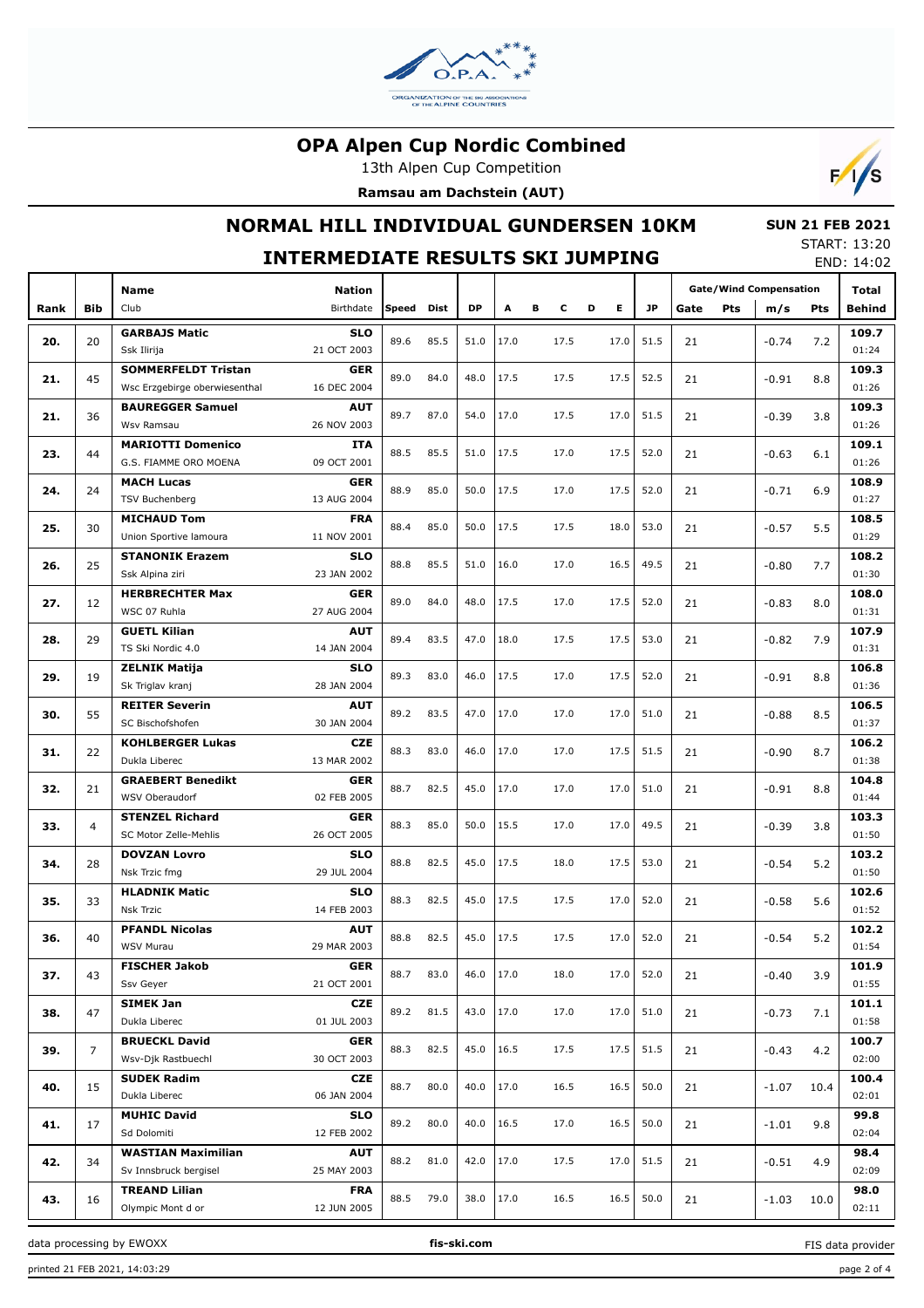

13th Alpen Cup Competition

**Ramsau am Dachstein (AUT)**



# **NORMAL HILL INDIVIDUAL GUNDERSEN 10KM**

#### **SUN 21 FEB 2021** START: 13:20

|      | <b>INTERMEDIATE RESULTS SKI JUMPING</b> |                                                             |                           |       |      |      |      |        |  |         |           |      |     | JIANI, 1J.ZU<br>END: 14:02    |      |                |
|------|-----------------------------------------|-------------------------------------------------------------|---------------------------|-------|------|------|------|--------|--|---------|-----------|------|-----|-------------------------------|------|----------------|
|      |                                         | Name                                                        | <b>Nation</b>             |       |      |      |      |        |  |         |           |      |     | <b>Gate/Wind Compensation</b> |      | Total          |
| Rank | Bib                                     | Club                                                        | Birthdate                 | Speed | Dist | DP   | Α    | в<br>c |  | E.<br>D | <b>JP</b> | Gate | Pts | m/s                           | Pts  | <b>Behind</b>  |
| 20.  | 20                                      | <b>GARBAJS Matic</b><br>Ssk Ilirija                         | <b>SLO</b><br>21 OCT 2003 | 89.6  | 85.5 | 51.0 | 17.0 | 17.5   |  | 17.0    | 51.5      | 21   |     | $-0.74$                       | 7.2  | 109.7<br>01:24 |
| 21.  | 45                                      | <b>SOMMERFELDT Tristan</b><br>Wsc Erzgebirge oberwiesenthal | <b>GER</b><br>16 DEC 2004 | 89.0  | 84.0 | 48.0 | 17.5 | 17.5   |  | 17.5    | 52.5      | 21   |     | $-0.91$                       | 8.8  | 109.3<br>01:26 |
| 21.  | 36                                      | <b>BAUREGGER Samuel</b><br>Wsv Ramsau                       | AUT<br>26 NOV 2003        | 89.7  | 87.0 | 54.0 | 17.0 | 17.5   |  | 17.0    | 51.5      | 21   |     | $-0.39$                       | 3.8  | 109.3<br>01:26 |
| 23.  | 44                                      | <b>MARIOTTI Domenico</b><br>G.S. FIAMME ORO MOENA           | <b>ITA</b><br>09 OCT 2001 | 88.5  | 85.5 | 51.0 | 17.5 | 17.0   |  | 17.5    | 52.0      | 21   |     | $-0.63$                       | 6.1  | 109.1<br>01:26 |
| 24.  | 24                                      | <b>MACH Lucas</b><br><b>TSV Buchenberg</b>                  | GER<br>13 AUG 2004        | 88.9  | 85.0 | 50.0 | 17.5 | 17.0   |  | 17.5    | 52.0      | 21   |     | $-0.71$                       | 6.9  | 108.9<br>01:27 |
| 25.  | 30                                      | <b>MICHAUD Tom</b><br>Union Sportive lamoura                | <b>FRA</b><br>11 NOV 2001 | 88.4  | 85.0 | 50.0 | 17.5 | 17.5   |  | 18.0    | 53.0      | 21   |     | $-0.57$                       | 5.5  | 108.5<br>01:29 |
| 26.  | 25                                      | <b>STANONIK Erazem</b><br>Ssk Alpina ziri                   | <b>SLO</b><br>23 JAN 2002 | 88.8  | 85.5 | 51.0 | 16.0 | 17.0   |  | 16.5    | 49.5      | 21   |     | $-0.80$                       | 7.7  | 108.2<br>01:30 |
| 27.  | 12                                      | <b>HERBRECHTER Max</b><br>WSC 07 Ruhla                      | <b>GER</b><br>27 AUG 2004 | 89.0  | 84.0 | 48.0 | 17.5 | 17.0   |  | 17.5    | 52.0      | 21   |     | $-0.83$                       | 8.0  | 108.0<br>01:31 |
| 28.  | 29                                      | <b>GUETL Kilian</b><br>TS Ski Nordic 4.0                    | <b>AUT</b><br>14 JAN 2004 | 89.4  | 83.5 | 47.0 | 18.0 | 17.5   |  | 17.5    | 53.0      | 21   |     | $-0.82$                       | 7.9  | 107.9<br>01:31 |
| 29.  | 19                                      | <b>ZELNIK Matija</b><br>Sk Triglav kranj                    | <b>SLO</b><br>28 JAN 2004 | 89.3  | 83.0 | 46.0 | 17.5 | 17.0   |  | 17.5    | 52.0      | 21   |     | $-0.91$                       | 8.8  | 106.8<br>01:36 |
| 30.  | 55                                      | <b>REITER Severin</b><br>SC Bischofshofen                   | <b>AUT</b><br>30 JAN 2004 | 89.2  | 83.5 | 47.0 | 17.0 | 17.0   |  | 17.0    | 51.0      | 21   |     | $-0.88$                       | 8.5  | 106.5<br>01:37 |
| 31.  | 22                                      | <b>KOHLBERGER Lukas</b><br>Dukla Liberec                    | <b>CZE</b><br>13 MAR 2002 | 88.3  | 83.0 | 46.0 | 17.0 | 17.0   |  | 17.5    | 51.5      | 21   |     | $-0.90$                       | 8.7  | 106.2<br>01:38 |
| 32.  | 21                                      | <b>GRAEBERT Benedikt</b><br>WSV Oberaudorf                  | <b>GER</b><br>02 FEB 2005 | 88.7  | 82.5 | 45.0 | 17.0 | 17.0   |  | 17.0    | 51.0      | 21   |     | $-0.91$                       | 8.8  | 104.8<br>01:44 |
| 33.  | 4                                       | <b>STENZEL Richard</b><br>SC Motor Zelle-Mehlis             | <b>GER</b><br>26 OCT 2005 | 88.3  | 85.0 | 50.0 | 15.5 | 17.0   |  | 17.0    | 49.5      | 21   |     | $-0.39$                       | 3.8  | 103.3<br>01:50 |
| 34.  | 28                                      | <b>DOVZAN Lovro</b><br>Nsk Trzic fmg                        | <b>SLO</b><br>29 JUL 2004 | 88.8  | 82.5 | 45.0 | 17.5 | 18.0   |  | 17.5    | 53.0      | 21   |     | $-0.54$                       | 5.2  | 103.2<br>01:50 |
| 35.  | 33                                      | <b>HLADNIK Matic</b><br><b>Nsk Trzic</b>                    | SLO<br>14 FEB 2003        | 88.3  | 82.5 | 45.0 | 17.5 | 17.5   |  | 17.0    | 52.0      | 21   |     | $-0.58$                       | 5.6  | 102.6<br>01:52 |
| 36.  | 40                                      | <b>PFANDL Nicolas</b><br>WSV Murau                          | AUT<br>29 MAR 2003        | 88.8  | 82.5 | 45.0 | 17.5 | 17.5   |  | 17.0    | 52.0      | 21   |     | $-0.54$                       | 5.2  | 102.2<br>01:54 |
| 37.  | 43                                      | <b>FISCHER Jakob</b><br>Ssv Geyer                           | GER<br>21 OCT 2001        | 88.7  | 83.0 | 46.0 | 17.0 | 18.0   |  | 17.0    | 52.0      | 21   |     | $-0.40$                       | 3.9  | 101.9<br>01:55 |
| 38.  | 47                                      | <b>SIMEK Jan</b><br>Dukla Liberec                           | CZE<br>01 JUL 2003        | 89.2  | 81.5 | 43.0 | 17.0 | 17.0   |  | 17.0    | 51.0      | 21   |     | $-0.73$                       | 7.1  | 101.1<br>01:58 |
| 39.  | $\overline{7}$                          | <b>BRUECKL David</b><br>Wsv-Djk Rastbuechl                  | GER<br>30 OCT 2003        | 88.3  | 82.5 | 45.0 | 16.5 | 17.5   |  | 17.5    | 51.5      | 21   |     | $-0.43$                       | 4.2  | 100.7<br>02:00 |
| 40.  | 15                                      | <b>SUDEK Radim</b><br>Dukla Liberec                         | <b>CZE</b><br>06 JAN 2004 | 88.7  | 80.0 | 40.0 | 17.0 | 16.5   |  | 16.5    | 50.0      | 21   |     | $-1.07$                       | 10.4 | 100.4<br>02:01 |
| 41.  | 17                                      | <b>MUHIC David</b><br>Sd Dolomiti                           | <b>SLO</b><br>12 FEB 2002 | 89.2  | 80.0 | 40.0 | 16.5 | 17.0   |  | 16.5    | 50.0      | 21   |     | $-1.01$                       | 9.8  | 99.8<br>02:04  |
| 42.  | 34                                      | <b>WASTIAN Maximilian</b><br>Sv Innsbruck bergisel          | <b>AUT</b><br>25 MAY 2003 | 88.2  | 81.0 | 42.0 | 17.0 | 17.5   |  | 17.0    | 51.5      | 21   |     | $-0.51$                       | 4.9  | 98.4<br>02:09  |
| 43.  | 16                                      | <b>TREAND Lilian</b><br>Olympic Mont d or                   | <b>FRA</b><br>12 JUN 2005 | 88.5  | 79.0 | 38.0 | 17.0 | 16.5   |  | 16.5    | 50.0      | 21   |     | $-1.03$                       | 10.0 | 98.0<br>02:11  |

data processing by EWOXX **fis-ski.com**

FIS data provider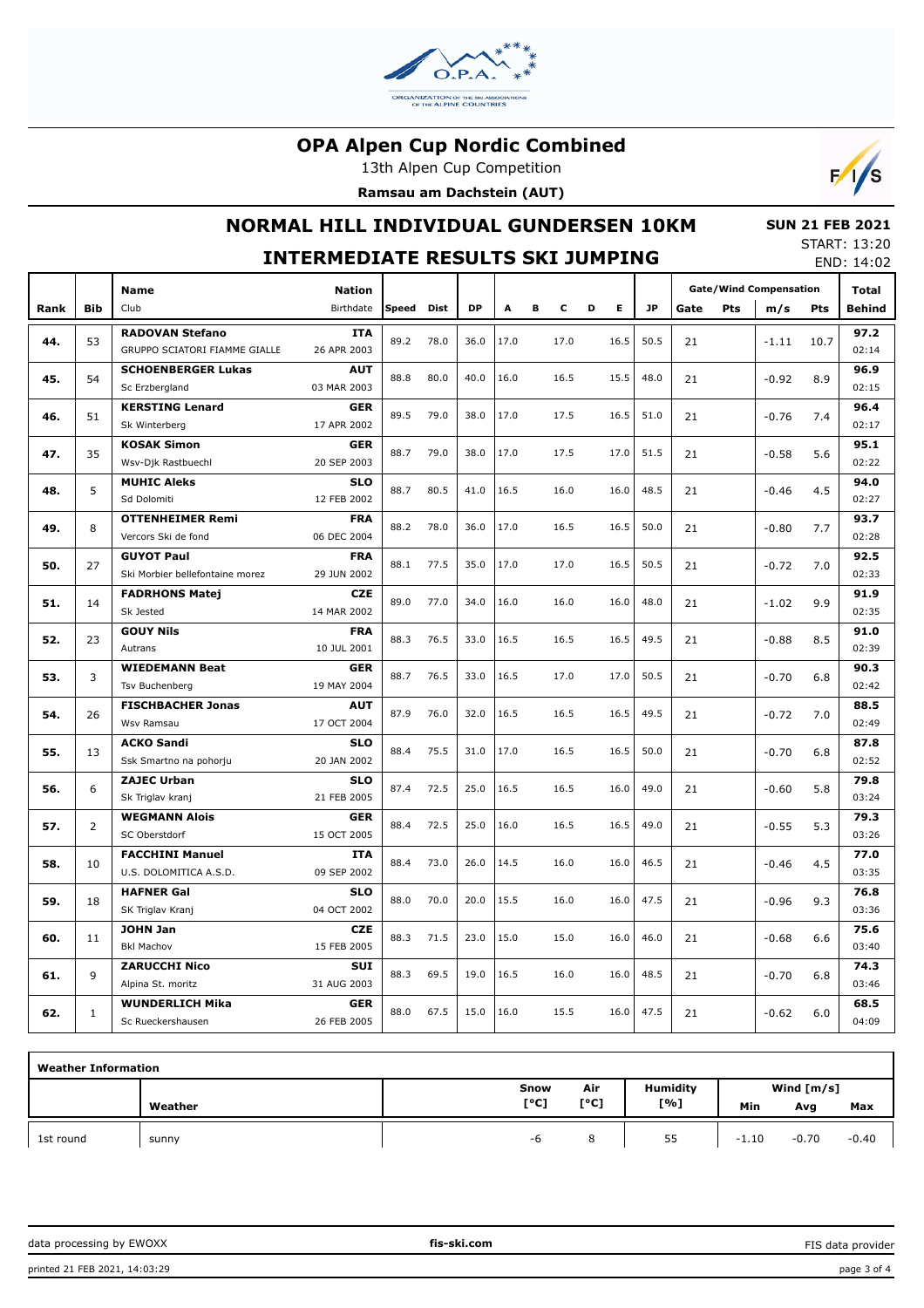

13th Alpen Cup Competition

**Ramsau am Dachstein (AUT)**



# **NORMAL HILL INDIVIDUAL GUNDERSEN 10KM**

 **SUN 21 FEB 2021** START: 13:20 END: 14:02

|      |                |                                                      | <b>INTERMEDIATE RESULTS SKI JUMPING</b> |       |             |           |      |   |      |        |           |      |            |                               |              | JIANI. 1J.ZU<br>END: 14:02 |
|------|----------------|------------------------------------------------------|-----------------------------------------|-------|-------------|-----------|------|---|------|--------|-----------|------|------------|-------------------------------|--------------|----------------------------|
|      |                | <b>Name</b>                                          | <b>Nation</b>                           |       |             |           |      |   |      |        |           |      |            | <b>Gate/Wind Compensation</b> | <b>Total</b> |                            |
| Rank | <b>Bib</b>     | Club                                                 | Birthdate                               | Speed | <b>Dist</b> | <b>DP</b> | A    | в | c    | E<br>D | <b>JP</b> | Gate | <b>Pts</b> | m/s                           | Pts          | <b>Behind</b>              |
|      |                | <b>RADOVAN Stefano</b>                               | <b>ITA</b>                              |       |             |           |      |   |      |        |           |      |            |                               |              | 97.2                       |
| 44.  | 53             | GRUPPO SCIATORI FIAMME GIALLE                        | 26 APR 2003                             | 89.2  | 78.0        | 36.0      | 17.0 |   | 17.0 | 16.5   | 50.5      | 21   |            | $-1.11$                       | 10.7         | 02:14                      |
|      |                | <b>SCHOENBERGER Lukas</b>                            | <b>AUT</b>                              |       |             |           |      |   |      |        |           |      |            |                               |              | 96.9                       |
| 45.  | 54             | Sc Erzbergland                                       | 03 MAR 2003                             | 88.8  | 80.0        | 40.0      | 16.0 |   | 16.5 | 15.5   | 48.0      | 21   |            | $-0.92$                       | 8.9          | 02:15                      |
| 46.  | 51             | <b>KERSTING Lenard</b>                               | <b>GER</b>                              | 89.5  | 79.0        | 38.0      | 17.0 |   | 17.5 | 16.5   | 51.0      | 21   |            | $-0.76$                       | 7.4          | 96.4                       |
|      |                | Sk Winterberg                                        | 17 APR 2002                             |       |             |           |      |   |      |        |           |      |            |                               |              | 02:17                      |
| 47.  | 35             | <b>KOSAK Simon</b>                                   | <b>GER</b>                              | 88.7  | 79.0        | 38.0      | 17.0 |   | 17.5 | 17.0   | 51.5      | 21   |            | $-0.58$                       | 5.6          | 95.1                       |
|      |                | Wsv-Djk Rastbuechl                                   | 20 SEP 2003                             |       |             |           |      |   |      |        |           |      |            |                               |              | 02:22                      |
| 48.  | 5              | <b>MUHIC Aleks</b>                                   | <b>SLO</b>                              | 88.7  | 80.5        | 41.0      | 16.5 |   | 16.0 | 16.0   | 48.5      | 21   |            | $-0.46$                       | 4.5          | 94.0                       |
|      |                | Sd Dolomiti                                          | 12 FEB 2002                             |       |             |           |      |   |      |        |           |      |            |                               |              | 02:27                      |
| 49.  | 8              | <b>OTTENHEIMER Remi</b>                              | <b>FRA</b>                              | 88.2  | 78.0        | 36.0      | 17.0 |   | 16.5 | 16.5   | 50.0      | 21   |            | $-0.80$                       | 7.7          | 93.7                       |
|      |                | Vercors Ski de fond                                  | 06 DEC 2004                             |       |             |           |      |   |      |        |           |      |            |                               |              | 02:28                      |
| 50.  | 27             | <b>GUYOT Paul</b><br>Ski Morbier bellefontaine morez | <b>FRA</b><br>29 JUN 2002               | 88.1  | 77.5        | 35.0      | 17.0 |   | 17.0 | 16.5   | 50.5      | 21   |            | $-0.72$                       | 7.0          | 92.5<br>02:33              |
|      |                | <b>FADRHONS Matej</b>                                | <b>CZE</b>                              |       |             |           |      |   |      |        |           |      |            |                               |              | 91.9                       |
| 51.  | 14             | Sk Jested                                            | 14 MAR 2002                             | 89.0  | 77.0        | 34.0      | 16.0 |   | 16.0 | 16.0   | 48.0      | 21   |            | $-1.02$                       | 9.9          | 02:35                      |
|      |                | <b>GOUY Nils</b>                                     | <b>FRA</b>                              |       |             |           |      |   |      |        |           |      |            |                               |              | 91.0                       |
| 52.  | 23             | Autrans                                              | 10 JUL 2001                             | 88.3  | 76.5        | 33.0      | 16.5 |   | 16.5 | 16.5   | 49.5      | 21   |            | $-0.88$                       | 8.5          | 02:39                      |
|      |                | <b>WIEDEMANN Beat</b>                                | <b>GER</b>                              |       |             |           |      |   |      |        |           |      |            |                               |              | 90.3                       |
| 53.  | 3              | Tsv Buchenberg                                       | 19 MAY 2004                             | 88.7  | 76.5        | 33.0      | 16.5 |   | 17.0 | 17.0   | 50.5      | 21   |            | $-0.70$                       | 6.8          | 02:42                      |
| 54.  | 26             | <b>FISCHBACHER Jonas</b>                             | <b>AUT</b>                              | 87.9  | 76.0        | 32.0      | 16.5 |   | 16.5 | 16.5   | 49.5      | 21   |            | $-0.72$                       | 7.0          | 88.5                       |
|      |                | Wsv Ramsau                                           | 17 OCT 2004                             |       |             |           |      |   |      |        |           |      |            |                               |              | 02:49                      |
| 55.  | 13             | <b>ACKO Sandi</b>                                    | <b>SLO</b>                              | 88.4  | 75.5        | 31.0      | 17.0 |   | 16.5 | 16.5   | 50.0      | 21   |            | $-0.70$                       | 6.8          | 87.8                       |
|      |                | Ssk Smartno na pohorju                               | 20 JAN 2002                             |       |             |           |      |   |      |        |           |      |            |                               |              | 02:52                      |
| 56.  | 6              | <b>ZAJEC Urban</b>                                   | <b>SLO</b>                              | 87.4  | 72.5        | 25.0      | 16.5 |   | 16.5 | 16.0   | 49.0      | 21   |            | $-0.60$                       | 5.8          | 79.8                       |
|      |                | Sk Triglav kranj                                     | 21 FEB 2005                             |       |             |           |      |   |      |        |           |      |            |                               |              | 03:24                      |
| 57.  | $\overline{2}$ | <b>WEGMANN Alois</b>                                 | <b>GER</b>                              | 88.4  | 72.5        | 25.0      | 16.0 |   | 16.5 | 16.5   | 49.0      | 21   |            | $-0.55$                       | 5.3          | 79.3                       |
|      |                | SC Oberstdorf                                        | 15 OCT 2005                             |       |             |           |      |   |      |        |           |      |            |                               |              | 03:26                      |
| 58.  | 10             | <b>FACCHINI Manuel</b><br>U.S. DOLOMITICA A.S.D.     | <b>ITA</b><br>09 SEP 2002               | 88.4  | 73.0        | 26.0      | 14.5 |   | 16.0 | 16.0   | 46.5      | 21   |            | $-0.46$                       | 4.5          | 77.0<br>03:35              |
|      |                | <b>HAFNER Gal</b>                                    | <b>SLO</b>                              |       |             |           |      |   |      |        |           |      |            |                               |              | 76.8                       |
| 59.  | 18             | SK Triglav Kranj                                     | 04 OCT 2002                             | 88.0  | 70.0        | 20.0      | 15.5 |   | 16.0 | 16.0   | 47.5      | 21   |            | $-0.96$                       | 9.3          | 03:36                      |
|      |                | <b>JOHN Jan</b>                                      | <b>CZE</b>                              |       |             |           |      |   |      |        |           |      |            |                               |              | 75.6                       |
| 60.  | 11             | <b>Bkl Machov</b>                                    | 15 FEB 2005                             | 88.3  | 71.5        | 23.0      | 15.0 |   | 15.0 | 16.0   | 46.0      | 21   |            | $-0.68$                       | 6.6          | 03:40                      |
|      |                | <b>ZARUCCHI Nico</b>                                 | <b>SUI</b>                              |       |             |           |      |   |      |        |           |      |            |                               |              | 74.3                       |
| 61.  | 9              | Alpina St. moritz                                    | 31 AUG 2003                             | 88.3  | 69.5        | 19.0      | 16.5 |   | 16.0 | 16.0   | 48.5      | 21   |            | $-0.70$                       | 6.8          | 03:46                      |
|      |                | <b>WUNDERLICH Mika</b>                               | <b>GER</b>                              |       |             |           |      |   |      |        |           |      |            |                               |              | 68.5                       |
| 62.  | $\mathbf{1}$   | Sc Rueckershausen                                    | 26 FEB 2005                             | 88.0  | 67.5        | 15.0      | 16.0 |   | 15.5 | 16.0   | 47.5      | 21   |            | $-0.62$                       | 6.0          | 04:09                      |

| <b>Weather Information</b> |         |      |      |          |              |         |         |  |
|----------------------------|---------|------|------|----------|--------------|---------|---------|--|
|                            |         | Snow | Air  | Humidity | Wind $[m/s]$ |         |         |  |
|                            | Weather | [°C] | [°C] | [%]      | Min          | Avg     | Max     |  |
| 1st round                  | sunny   | -6   | 8    | 55       | $-1.10$      | $-0.70$ | $-0.40$ |  |